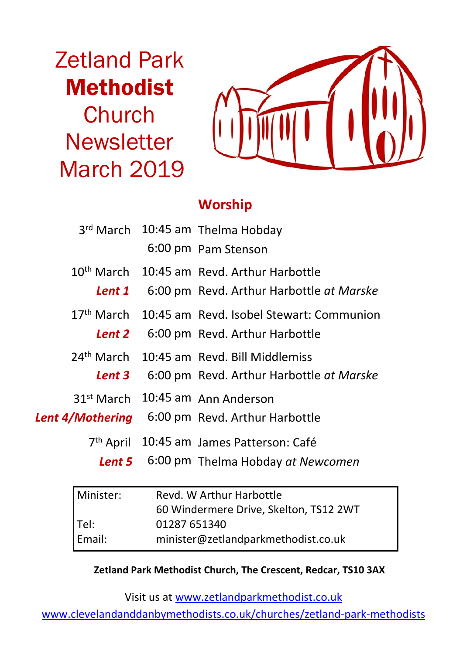Zetland Park Methodist **Church Newsletter** March 2019



## **Worship**

|                  | 3rd March 10:45 am Thelma Hobday<br>6:00 pm Pam Stenson                                            |
|------------------|----------------------------------------------------------------------------------------------------|
| Lent 1           | 10 <sup>th</sup> March 10:45 am Revd. Arthur Harbottle<br>6:00 pm Revd. Arthur Harbottle at Marske |
| Lent 2           | 17 <sup>th</sup> March 10:45 am Revd. Isobel Stewart: Communion<br>6:00 pm Revd. Arthur Harbottle  |
| Lent 3           | 24 <sup>th</sup> March 10:45 am Revd. Bill Middlemiss<br>6:00 pm Revd. Arthur Harbottle at Marske  |
| Lent 4/Mothering | 31 <sup>st</sup> March 10:45 am Ann Anderson<br>6:00 pm Revd. Arthur Harbottle                     |
|                  | 7 <sup>th</sup> April 10:45 am James Patterson: Café<br>Lent 5 6:00 pm Thelma Hobday at Newcomen   |

| Minister: | Revd. W Arthur Harbottle               |  |  |
|-----------|----------------------------------------|--|--|
|           | 60 Windermere Drive, Skelton, TS12 2WT |  |  |
| Tel:      | 01287 651340                           |  |  |
| Email:    | minister@zetlandparkmethodist.co.uk    |  |  |

#### **Zetland Park Methodist Church, The Crescent, Redcar, TS10 3AX**

Visit us at www.zetlandparkmethodist.co.uk

www.clevelandanddanbymethodists.co.uk/churches/zetland-park-methodists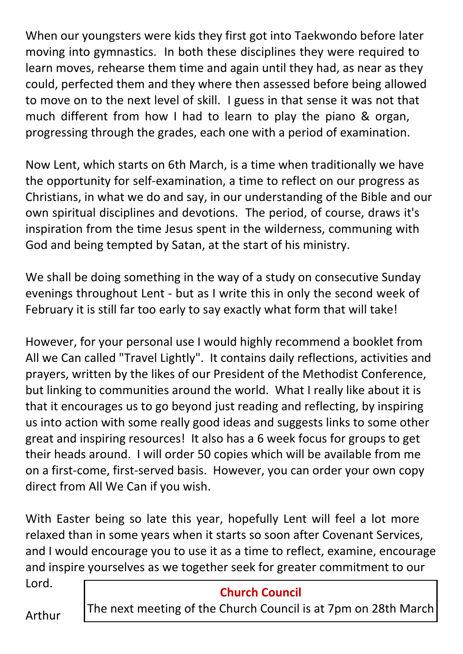When our youngsters were kids they first got into Taekwondo before later moving into gymnastics. In both these disciplines they were required to learn moves, rehearse them time and again until they had, as near as they could, perfected them and they where then assessed before being allowed to move on to the next level of skill. I guess in that sense it was not that much different from how I had to learn to play the piano & organ, progressing through the grades, each one with a period of examination.

Now Lent, which starts on 6th March, is a time when traditionally we have the opportunity for self-examination, a time to reflect on our progress as Christians, in what we do and say, in our understanding of the Bible and our own spiritual disciplines and devotions. The period, of course, draws it's inspiration from the time Jesus spent in the wilderness, communing with God and being tempted by Satan, at the start of his ministry.

We shall be doing something in the way of a study on consecutive Sunday evenings throughout Lent - but as I write this in only the second week of February it is still far too early to say exactly what form that will take!

However, for your personal use I would highly recommend a booklet from All we Can called "Travel Lightly". It contains daily reflections, activities and prayers, written by the likes of our President of the Methodist Conference, but linking to communities around the world. What I really like about it is that it encourages us to go beyond just reading and reflecting, by inspiring us into action with some really good ideas and suggests links to some other great and inspiring resources! It also has a 6 week focus for groups to get their heads around. I will order 50 copies which will be available from me on a first-come, first-served basis. However, you can order your own copy direct from All We Can if you wish.

With Easter being so late this year, hopefully Lent will feel a lot more relaxed than in some years when it starts so soon after Covenant Services, and I would encourage you to use it as a time to reflect, examine, encourage and inspire yourselves as we together seek for greater commitment to our

Lord.

### **Church Council**

Arthur

The next meeting of the Church Council is at 7pm on 28th March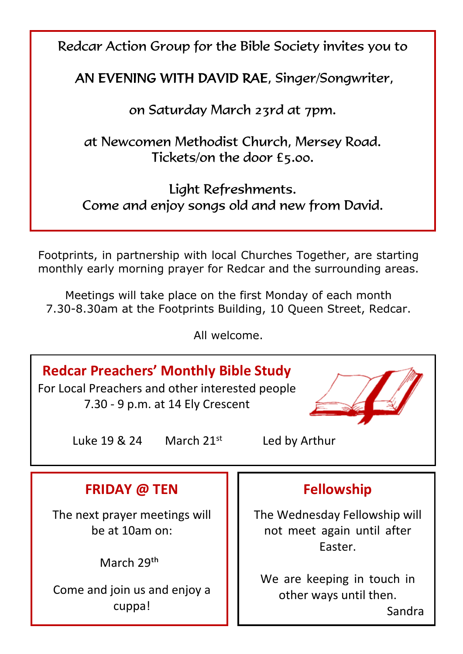Redcar Action Group for the Bible Society invites you to

AN EVENING WITH DAVID RAE, Singer/Songwriter,

on Saturday March 23rd at 7pm.

at Newcomen Methodist Church, Mersey Road. Tickets/on the door £5.00.

Light Refreshments. Come and enjoy songs old and new from David.

Footprints, in partnership with local Churches Together, are starting monthly early morning prayer for Redcar and the surrounding areas.

Meetings will take place on the first Monday of each month 7.30-8.30am at the Footprints Building, 10 Queen Street, Redcar.

All welcome.



Come and join us and enjoy a cuppa!

other ways until then. Sandra